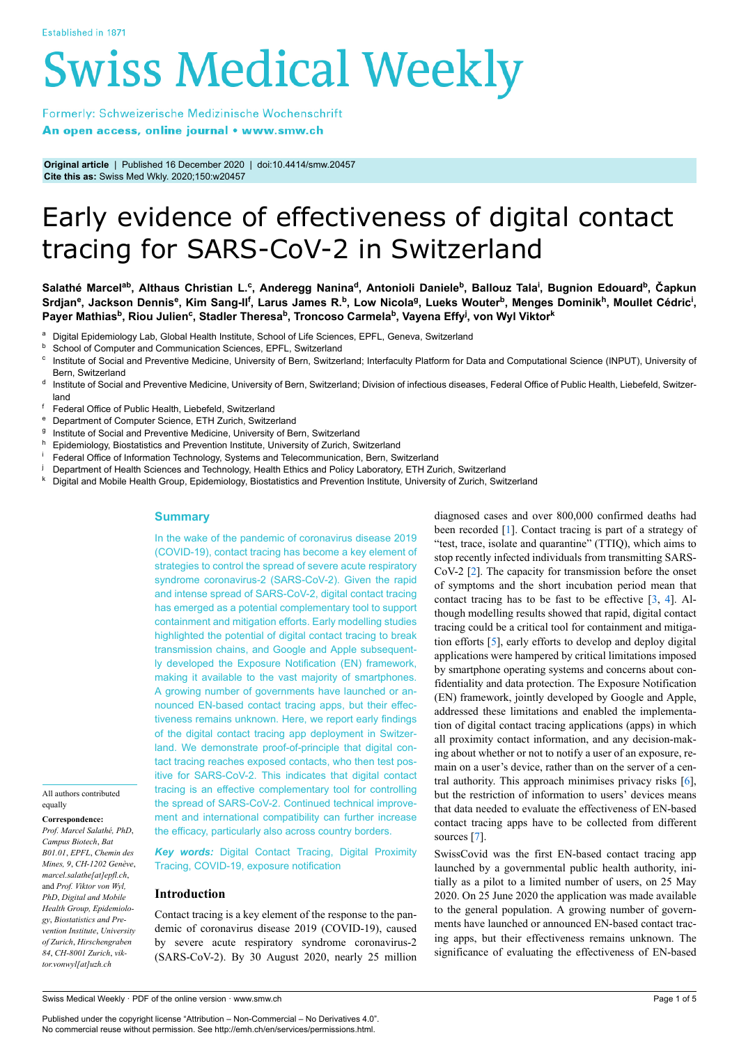# **Swiss Medical Weekly**

Formerly: Schweizerische Medizinische Wochenschrift An open access, online journal • www.smw.ch

**Original article** | Published 16 December 2020 | doi:10.4414/smw.20457 **Cite this as:** Swiss Med Wkly. 2020;150:w20457

# Early evidence of effectiveness of digital contact tracing for SARS-CoV-2 in Switzerland

**Salathé Marcelab, Althaus Christian L.<sup>c</sup> , Anderegg Nanina<sup>d</sup> , Antonioli Daniele<sup>b</sup> , Ballouz Tala<sup>i</sup> , Bugnion Edouard<sup>b</sup> , Čapkun** Srdjan<sup>e</sup>, Jackson Dennis<sup>e</sup>, Kim Sang-Il<sup>f</sup>, Larus James R.<sup>b</sup>, Low Nicola<sup>g</sup>, Lueks Wouter<sup>b</sup>, Menges Dominik<sup>h</sup>, Moullet Cédric<sup>i</sup>, **Payer Mathias<sup>b</sup> , Riou Julien<sup>c</sup> , Stadler Theresa<sup>b</sup> , Troncoso Carmela<sup>b</sup> , Vayena Effy<sup>j</sup> , von Wyl Viktor<sup>k</sup>**

- a Digital Epidemiology Lab, Global Health Institute, School of Life Sciences, EPFL, Geneva, Switzerland
- **b** School of Computer and Communication Sciences, EPFL, Switzerland
- c Institute of Social and Preventive Medicine, University of Bern, Switzerland; Interfaculty Platform for Data and Computational Science (INPUT), University of Bern, Switzerland
- d Institute of Social and Preventive Medicine, University of Bern, Switzerland; Division of infectious diseases, Federal Office of Public Health, Liebefeld, Switzerland
- f Federal Office of Public Health, Liebefeld, Switzerland<br><sup>8</sup> Department of Computer Science, ETH Zurieb, Switze
- Department of Computer Science, ETH Zurich, Switzerland
- g Institute of Social and Preventive Medicine, University of Bern, Switzerland
- 
- **h** Epidemiology, Biostatistics and Prevention Institute, University of Zurich, Switzerland<br> **Leaderal Office of Information Technology, Systems and Telecommunication, Bern, Switzerland**
- <sup>i</sup> Federal Office of Information Technology, Systems and Telecommunication, Bern, Switzerland<br>L. Department of Health Sciences and Technology, Health Ethics and Policy Laboratory, ETH Zur Department of Health Sciences and Technology, Health Ethics and Policy Laboratory, ETH Zurich, Switzerland
- <sup>k</sup> Digital and Mobile Health Group, Epidemiology, Biostatistics and Prevention Institute, University of Zurich, Switzerland

## **Summary**

In the wake of the pandemic of coronavirus disease 2019 (COVID-19), contact tracing has become a key element of strategies to control the spread of severe acute respiratory syndrome coronavirus-2 (SARS-CoV-2). Given the rapid and intense spread of SARS-CoV-2, digital contact tracing has emerged as a potential complementary tool to support containment and mitigation efforts. Early modelling studies highlighted the potential of digital contact tracing to break transmission chains, and Google and Apple subsequently developed the Exposure Notification (EN) framework, making it available to the vast majority of smartphones. A growing number of governments have launched or announced EN-based contact tracing apps, but their effectiveness remains unknown. Here, we report early findings of the digital contact tracing app deployment in Switzerland. We demonstrate proof-of-principle that digital contact tracing reaches exposed contacts, who then test positive for SARS-CoV-2. This indicates that digital contact tracing is an effective complementary tool for controlling the spread of SARS-CoV-2. Continued technical improvement and international compatibility can further increase the efficacy, particularly also across country borders.

All authors contributed equally

**Correspondence:** *Prof. Marcel Salathé, PhD*, *Campus Biotech*, *Bat B01.01*, *EPFL*, *Chemin des Mines, 9*, *CH-1202 Genève*, *marcel.salathe[at]epfl.ch*, and *Prof. Viktor von Wyl,*

*PhD*, *Digital and Mobile Health Group, Epidemiology*, *Biostatistics and Prevention Institute*, *University of Zurich*, *Hirschengraben 84*, *CH-8001 Zurich*, *viktor.vonwyl[at]uzh.ch*

*Key words:* Digital Contact Tracing, Digital Proximity Tracing, COVID-19, exposure notification

# **Introduction**

Contact tracing is a key element of the response to the pandemic of coronavirus disease 2019 (COVID-19), caused by severe acute respiratory syndrome coronavirus-2 (SARS-CoV-2). By 30 August 2020, nearly 25 million diagnosed cases and over 800,000 confirmed deaths had been recorded [1]. Contact tracing is part of a strategy of "test, trace, isolate and quarantine" (TTIQ), which aims to stop recently infected individuals from transmitting SARS-CoV-2 [2]. The capacity for transmission before the onset of symptoms and the short incubation period mean that contact tracing has to be fast to be effective [3, 4]. Although modelling results showed that rapid, digital contact tracing could be a critical tool for containment and mitigation efforts [5], early efforts to develop and deploy digital applications were hampered by critical limitations imposed by smartphone operating systems and concerns about confidentiality and data protection. The Exposure Notification (EN) framework, jointly developed by Google and Apple, addressed these limitations and enabled the implementation of digital contact tracing applications (apps) in which all proximity contact information, and any decision-making about whether or not to notify a user of an exposure, remain on a user's device, rather than on the server of a central authority. This approach minimises privacy risks [6], but the restriction of information to users' devices means that data needed to evaluate the effectiveness of EN-based contact tracing apps have to be collected from different sources [7].

SwissCovid was the first EN-based contact tracing app launched by a governmental public health authority, initially as a pilot to a limited number of users, on 25 May 2020. On 25 June 2020 the application was made available to the general population. A growing number of governments have launched or announced EN-based contact tracing apps, but their effectiveness remains unknown. The significance of evaluating the effectiveness of EN-based

Swiss Medical Weekly · PDF of the online version · www.smw.ch

Published under the copyright license "Attribution – Non-Commercial – No Derivatives 4.0". No commercial reuse without permission. See http://emh.ch/en/services/permissions.html.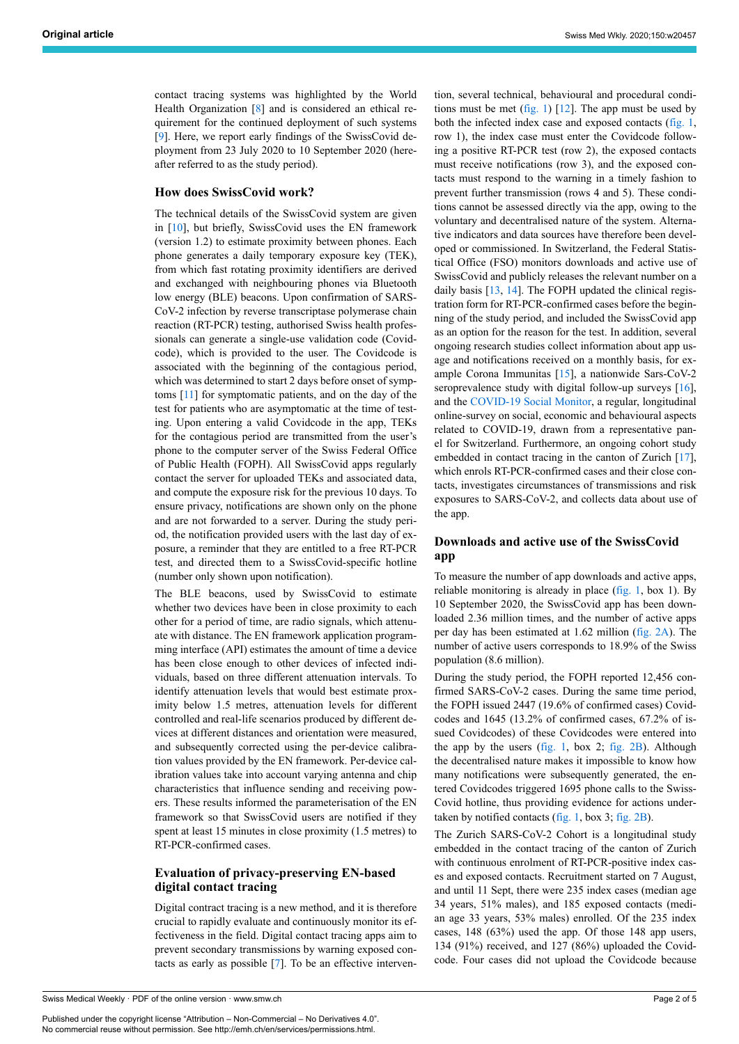contact tracing systems was highlighted by the World Health Organization [8] and is considered an ethical requirement for the continued deployment of such systems [9]. Here, we report early findings of the SwissCovid deployment from 23 July 2020 to 10 September 2020 (hereafter referred to as the study period).

#### **How does SwissCovid work?**

The technical details of the SwissCovid system are given in [10], but briefly, SwissCovid uses the EN framework (version 1.2) to estimate proximity between phones. Each phone generates a daily temporary exposure key (TEK), from which fast rotating proximity identifiers are derived and exchanged with neighbouring phones via Bluetooth low energy (BLE) beacons. Upon confirmation of SARS-CoV-2 infection by reverse transcriptase polymerase chain reaction (RT-PCR) testing, authorised Swiss health professionals can generate a single-use validation code (Covidcode), which is provided to the user. The Covidcode is associated with the beginning of the contagious period, which was determined to start 2 days before onset of symptoms [11] for symptomatic patients, and on the day of the test for patients who are asymptomatic at the time of testing. Upon entering a valid Covidcode in the app, TEKs for the contagious period are transmitted from the user's phone to the computer server of the Swiss Federal Office of Public Health (FOPH). All SwissCovid apps regularly contact the server for uploaded TEKs and associated data, and compute the exposure risk for the previous 10 days. To ensure privacy, notifications are shown only on the phone and are not forwarded to a server. During the study period, the notification provided users with the last day of exposure, a reminder that they are entitled to a free RT-PCR test, and directed them to a SwissCovid-specific hotline (number only shown upon notification).

The BLE beacons, used by SwissCovid to estimate whether two devices have been in close proximity to each other for a period of time, are radio signals, which attenuate with distance. The EN framework application programming interface (API) estimates the amount of time a device has been close enough to other devices of infected individuals, based on three different attenuation intervals. To identify attenuation levels that would best estimate proximity below 1.5 metres, attenuation levels for different controlled and real-life scenarios produced by different devices at different distances and orientation were measured, and subsequently corrected using the per-device calibration values provided by the EN framework. Per-device calibration values take into account varying antenna and chip characteristics that influence sending and receiving powers. These results informed the parameterisation of the EN framework so that SwissCovid users are notified if they spent at least 15 minutes in close proximity (1.5 metres) to RT-PCR-confirmed cases.

## **Evaluation of privacy-preserving EN-based digital contact tracing**

Digital contract tracing is a new method, and it is therefore crucial to rapidly evaluate and continuously monitor its effectiveness in the field. Digital contact tracing apps aim to prevent secondary transmissions by warning exposed contacts as early as possible [7]. To be an effective interven-

Published under the copyright license "Attribution – Non-Commercial – No Derivatives 4.0". No commercial reuse without permission. See http://emh.ch/en/services/permissions.html.

tion, several technical, behavioural and procedural conditions must be met (fig. 1)  $[12]$ . The app must be used by both the infected index case and exposed contacts (fig. 1, row 1), the index case must enter the Covidcode following a positive RT-PCR test (row 2), the exposed contacts must receive notifications (row 3), and the exposed contacts must respond to the warning in a timely fashion to prevent further transmission (rows 4 and 5). These conditions cannot be assessed directly via the app, owing to the voluntary and decentralised nature of the system. Alternative indicators and data sources have therefore been developed or commissioned. In Switzerland, the Federal Statistical Office (FSO) monitors downloads and active use of SwissCovid and publicly releases the relevant number on a daily basis [13, 14]. The FOPH updated the clinical registration form for RT-PCR-confirmed cases before the beginning of the study period, and included the SwissCovid app as an option for the reason for the test. In addition, several ongoing research studies collect information about app usage and notifications received on a monthly basis, for example Corona Immunitas [15], a nationwide Sars-CoV-2 seroprevalence study with digital follow-up surveys [16], and the COVID-19 Social Monitor, a regular, longitudinal online-survey on social, economic and behavioural aspects related to COVID-19, drawn from a representative panel for Switzerland. Furthermore, an ongoing cohort study embedded in contact tracing in the canton of Zurich [17], which enrols RT-PCR-confirmed cases and their close contacts, investigates circumstances of transmissions and risk exposures to SARS-CoV-2, and collects data about use of the app.

# **Downloads and active use of the SwissCovid app**

To measure the number of app downloads and active apps, reliable monitoring is already in place (fig. 1, box 1). By 10 September 2020, the SwissCovid app has been downloaded 2.36 million times, and the number of active apps per day has been estimated at 1.62 million (fig. 2A). The number of active users corresponds to 18.9% of the Swiss population (8.6 million).

During the study period, the FOPH reported 12,456 confirmed SARS-CoV-2 cases. During the same time period, the FOPH issued 2447 (19.6% of confirmed cases) Covidcodes and 1645 (13.2% of confirmed cases, 67.2% of issued Covidcodes) of these Covidcodes were entered into the app by the users (fig. 1, box 2; fig. 2B). Although the decentralised nature makes it impossible to know how many notifications were subsequently generated, the entered Covidcodes triggered 1695 phone calls to the Swiss-Covid hotline, thus providing evidence for actions undertaken by notified contacts (fig. 1, box 3; fig.  $2B$ ).

The Zurich SARS-CoV-2 Cohort is a longitudinal study embedded in the contact tracing of the canton of Zurich with continuous enrolment of RT-PCR-positive index cases and exposed contacts. Recruitment started on 7 August, and until 11 Sept, there were 235 index cases (median age 34 years, 51% males), and 185 exposed contacts (median age 33 years, 53% males) enrolled. Of the 235 index cases, 148 (63%) used the app. Of those 148 app users, 134 (91%) received, and 127 (86%) uploaded the Covidcode. Four cases did not upload the Covidcode because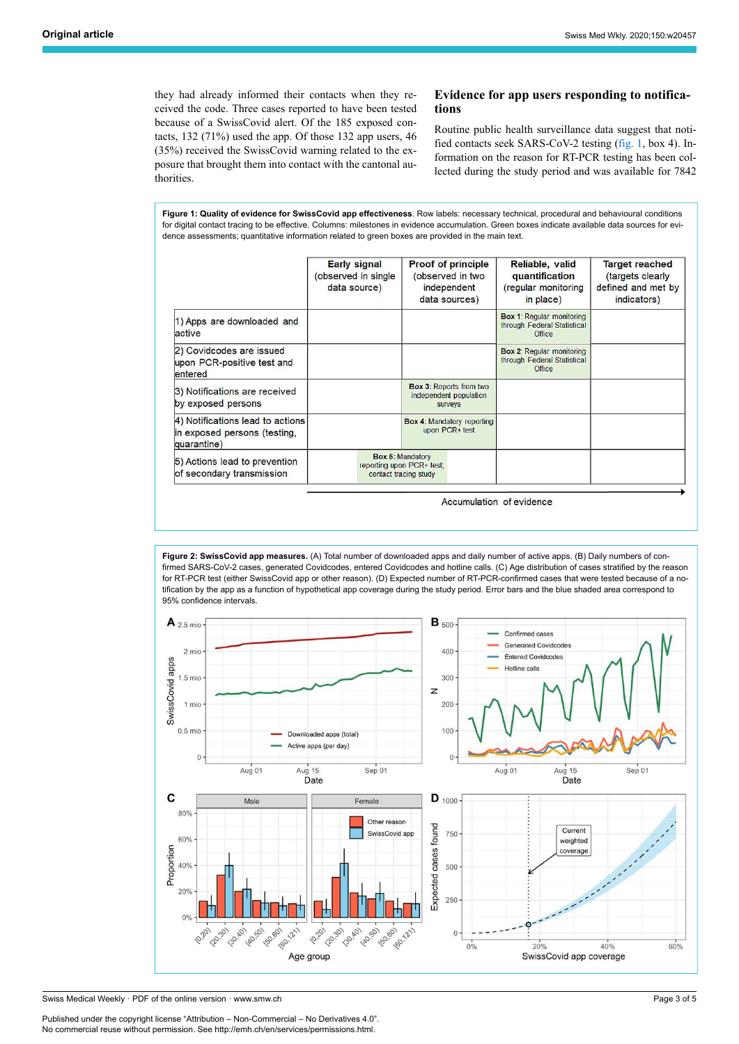they had already informed their contacts when they received the code. Three cases reported to have been tested because of a SwissCovid alert. Of the 185 exposed contacts, 132 (71%) used the app. Of those 132 app users, 46 (35%) received the SwissCovid warning related to the exposure that brought them into contact with the cantonal authorities.

#### **Evidence for app users responding to notifications**

Routine public health surveillance data suggest that notified contacts seek SARS-CoV-2 testing (fig. 1, box 4). Information on the reason for RT-PCR testing has been collected during the study period and was available for 7842

**Figure 1: Quality of evidence for SwissCovid app effectiveness**. Row labels: necessary technical, procedural and behavioural conditions for digital contact tracing to be effective. Columns: milestones in evidence accumulation. Green boxes indicate available data sources for evidence assessments; quantitative information related to green boxes are provided in the main text.

|                                                                                 | <b>Early signal</b><br>(observed in single<br>data source)                    | <b>Proof of principle</b><br>(observed in two<br>independent<br>data sources) | Reliable, valid<br>quantification<br>(regular monitoring<br>in place)     | <b>Target reached</b><br>(targets clearly<br>defined and met by<br>indicators) |
|---------------------------------------------------------------------------------|-------------------------------------------------------------------------------|-------------------------------------------------------------------------------|---------------------------------------------------------------------------|--------------------------------------------------------------------------------|
| 1) Apps are downloaded and<br>active                                            |                                                                               |                                                                               | <b>Box 1: Regular monitoring</b><br>through Federal Statistical<br>Office |                                                                                |
| 2) Covidcodes are issued<br>upon PCR-positive test and<br>entered               |                                                                               |                                                                               | <b>Box 2: Regular monitoring</b><br>through Federal Statistical<br>Office |                                                                                |
| 3) Notifications are received<br>by exposed persons                             |                                                                               | Box 3: Reports from two<br>independent population<br><b>SUIVEVS</b>           |                                                                           |                                                                                |
| 4) Notifications lead to actions<br>in exposed persons (testing,<br>quarantine) |                                                                               | <b>Box 4: Mandatory reporting</b><br>upon PCR+ test                           |                                                                           |                                                                                |
| 5) Actions lead to prevention<br>of secondary transmission                      | <b>Box 5: Mandatory</b><br>reporting upon PCR+ test;<br>contact tracing study |                                                                               |                                                                           |                                                                                |

Accumulation of evidence

**Figure 2: SwissCovid app measures.** (A) Total number of downloaded apps and daily number of active apps. (B) Daily numbers of confirmed SARS-CoV-2 cases, generated Covidcodes, entered Covidcodes and hotline calls. (C) Age distribution of cases stratified by the reason for RT-PCR test (either SwissCovid app or other reason). (D) Expected number of RT-PCR-confirmed cases that were tested because of a notification by the app as a function of hypothetical app coverage during the study period. Error bars and the blue shaded area correspond to 95% confidence intervals.



Swiss Medical Weekly · PDF of the online version · www.smw.ch

Published under the copyright license "Attribution – Non-Commercial – No Derivatives 4.0". No commercial reuse without permission. See http://emh.ch/en/services/permissions.html.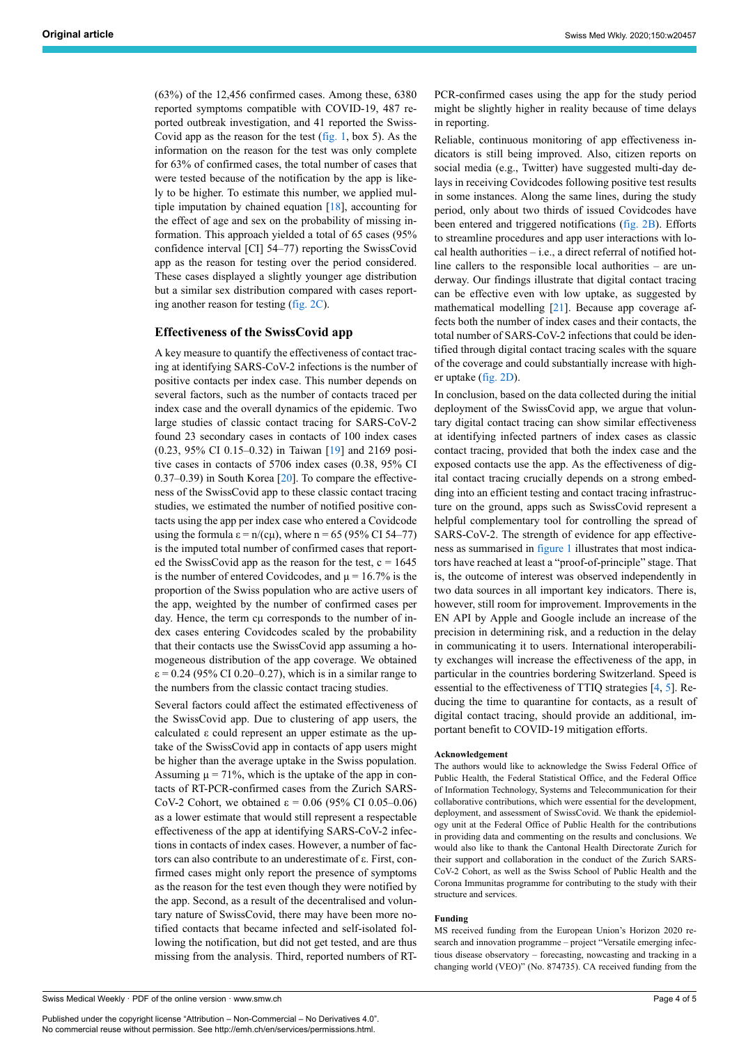(63%) of the 12,456 confirmed cases. Among these, 6380 reported symptoms compatible with COVID-19, 487 reported outbreak investigation, and 41 reported the Swiss-Covid app as the reason for the test (fig. 1, box 5). As the information on the reason for the test was only complete for 63% of confirmed cases, the total number of cases that were tested because of the notification by the app is likely to be higher. To estimate this number, we applied multiple imputation by chained equation [18], accounting for the effect of age and sex on the probability of missing information. This approach yielded a total of 65 cases (95% confidence interval [CI] 54–77) reporting the SwissCovid app as the reason for testing over the period considered. These cases displayed a slightly younger age distribution but a similar sex distribution compared with cases reporting another reason for testing (fig. 2C).

#### **Effectiveness of the SwissCovid app**

A key measure to quantify the effectiveness of contact tracing at identifying SARS-CoV-2 infections is the number of positive contacts per index case. This number depends on several factors, such as the number of contacts traced per index case and the overall dynamics of the epidemic. Two large studies of classic contact tracing for SARS-CoV-2 found 23 secondary cases in contacts of 100 index cases (0.23, 95% CI 0.15–0.32) in Taiwan [19] and 2169 positive cases in contacts of 5706 index cases (0.38, 95% CI 0.37–0.39) in South Korea [20]. To compare the effectiveness of the SwissCovid app to these classic contact tracing studies, we estimated the number of notified positive contacts using the app per index case who entered a Covidcode using the formula  $\varepsilon = n/(c\mu)$ , where n = 65 (95% CI 54–77) is the imputed total number of confirmed cases that reported the SwissCovid app as the reason for the test,  $c = 1645$ is the number of entered Covidcodes, and  $\mu = 16.7\%$  is the proportion of the Swiss population who are active users of the app, weighted by the number of confirmed cases per day. Hence, the term cμ corresponds to the number of index cases entering Covidcodes scaled by the probability that their contacts use the SwissCovid app assuming a homogeneous distribution of the app coverage. We obtained  $\varepsilon$  = 0.24 (95% CI 0.20–0.27), which is in a similar range to the numbers from the classic contact tracing studies.

Several factors could affect the estimated effectiveness of the SwissCovid app. Due to clustering of app users, the calculated ε could represent an upper estimate as the uptake of the SwissCovid app in contacts of app users might be higher than the average uptake in the Swiss population. Assuming  $\mu = 71\%$ , which is the uptake of the app in contacts of RT-PCR-confirmed cases from the Zurich SARS-CoV-2 Cohort, we obtained ε = 0.06 (95% CI 0.05–0.06) as a lower estimate that would still represent a respectable effectiveness of the app at identifying SARS-CoV-2 infections in contacts of index cases. However, a number of factors can also contribute to an underestimate of ε. First, confirmed cases might only report the presence of symptoms as the reason for the test even though they were notified by the app. Second, as a result of the decentralised and voluntary nature of SwissCovid, there may have been more notified contacts that became infected and self-isolated following the notification, but did not get tested, and are thus missing from the analysis. Third, reported numbers of RT-

PCR-confirmed cases using the app for the study period might be slightly higher in reality because of time delays in reporting.

Reliable, continuous monitoring of app effectiveness indicators is still being improved. Also, citizen reports on social media (e.g., Twitter) have suggested multi-day delays in receiving Covidcodes following positive test results in some instances. Along the same lines, during the study period, only about two thirds of issued Covidcodes have been entered and triggered notifications (fig. 2B). Efforts to streamline procedures and app user interactions with local health authorities – i.e., a direct referral of notified hotline callers to the responsible local authorities – are underway. Our findings illustrate that digital contact tracing can be effective even with low uptake, as suggested by mathematical modelling [21]. Because app coverage affects both the number of index cases and their contacts, the total number of SARS-CoV-2 infections that could be identified through digital contact tracing scales with the square of the coverage and could substantially increase with higher uptake (fig. 2D).

In conclusion, based on the data collected during the initial deployment of the SwissCovid app, we argue that voluntary digital contact tracing can show similar effectiveness at identifying infected partners of index cases as classic contact tracing, provided that both the index case and the exposed contacts use the app. As the effectiveness of digital contact tracing crucially depends on a strong embedding into an efficient testing and contact tracing infrastructure on the ground, apps such as SwissCovid represent a helpful complementary tool for controlling the spread of SARS-CoV-2. The strength of evidence for app effectiveness as summarised in figure 1 illustrates that most indicators have reached at least a "proof-of-principle" stage. That is, the outcome of interest was observed independently in two data sources in all important key indicators. There is, however, still room for improvement. Improvements in the EN API by Apple and Google include an increase of the precision in determining risk, and a reduction in the delay in communicating it to users. International interoperability exchanges will increase the effectiveness of the app, in particular in the countries bordering Switzerland. Speed is essential to the effectiveness of TTIQ strategies [4, 5]. Reducing the time to quarantine for contacts, as a result of digital contact tracing, should provide an additional, important benefit to COVID-19 mitigation efforts.

#### **Acknowledgement**

The authors would like to acknowledge the Swiss Federal Office of Public Health, the Federal Statistical Office, and the Federal Office of Information Technology, Systems and Telecommunication for their collaborative contributions, which were essential for the development, deployment, and assessment of SwissCovid. We thank the epidemiology unit at the Federal Office of Public Health for the contributions in providing data and commenting on the results and conclusions. We would also like to thank the Cantonal Health Directorate Zurich for their support and collaboration in the conduct of the Zurich SARS-CoV-2 Cohort, as well as the Swiss School of Public Health and the Corona Immunitas programme for contributing to the study with their structure and services.

#### **Funding**

MS received funding from the European Union's Horizon 2020 research and innovation programme – project "Versatile emerging infectious disease observatory – forecasting, nowcasting and tracking in a changing world (VEO)" (No. 874735). CA received funding from the